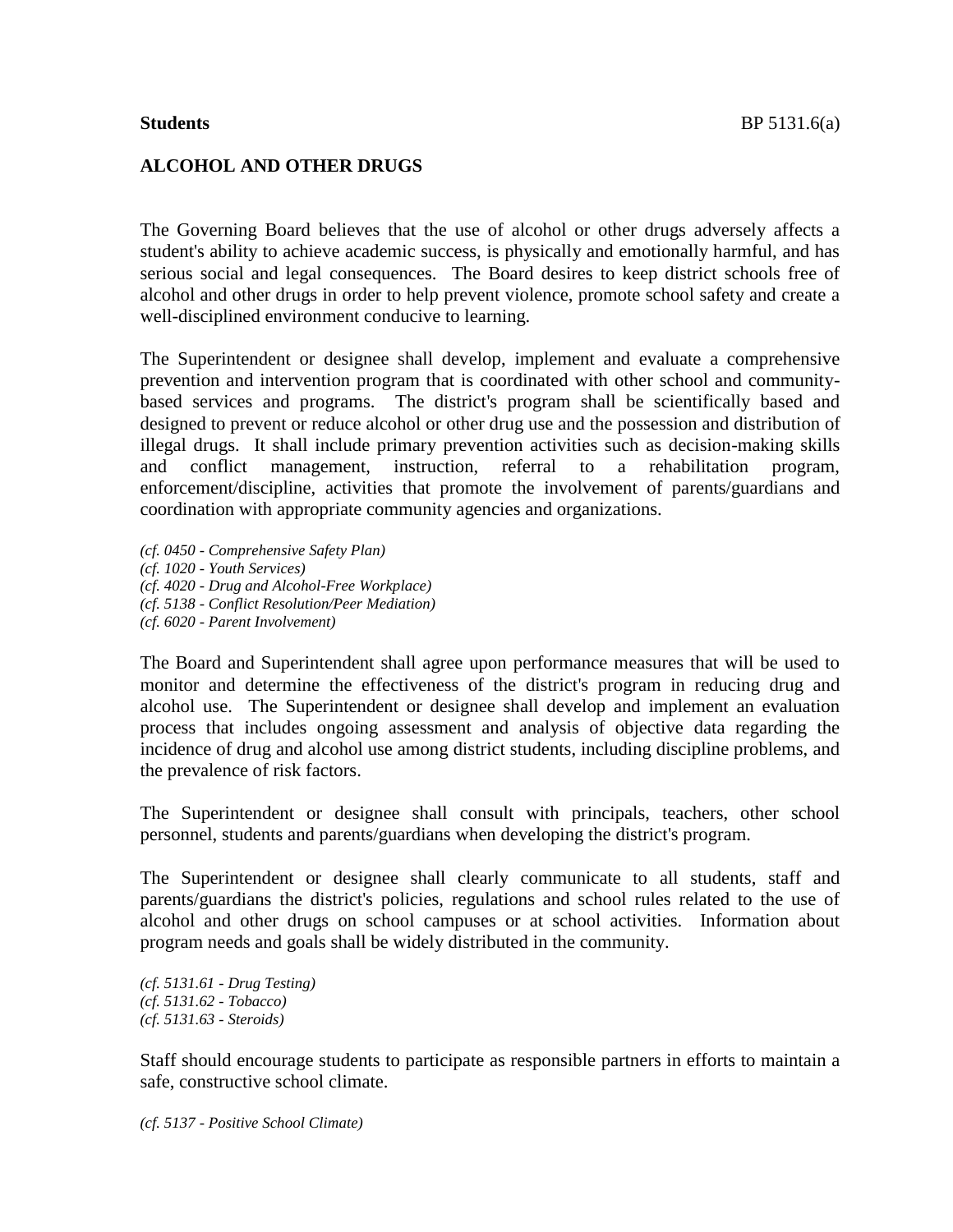# **ALCOHOL AND OTHER DRUGS**

The Governing Board believes that the use of alcohol or other drugs adversely affects a student's ability to achieve academic success, is physically and emotionally harmful, and has serious social and legal consequences. The Board desires to keep district schools free of alcohol and other drugs in order to help prevent violence, promote school safety and create a well-disciplined environment conducive to learning.

The Superintendent or designee shall develop, implement and evaluate a comprehensive prevention and intervention program that is coordinated with other school and communitybased services and programs. The district's program shall be scientifically based and designed to prevent or reduce alcohol or other drug use and the possession and distribution of illegal drugs. It shall include primary prevention activities such as decision-making skills and conflict management, instruction, referral to a rehabilitation program, enforcement/discipline, activities that promote the involvement of parents/guardians and coordination with appropriate community agencies and organizations.

*(cf. 0450 - Comprehensive Safety Plan) (cf. 1020 - Youth Services) (cf. 4020 - Drug and Alcohol-Free Workplace) (cf. 5138 - Conflict Resolution/Peer Mediation) (cf. 6020 - Parent Involvement)*

The Board and Superintendent shall agree upon performance measures that will be used to monitor and determine the effectiveness of the district's program in reducing drug and alcohol use. The Superintendent or designee shall develop and implement an evaluation process that includes ongoing assessment and analysis of objective data regarding the incidence of drug and alcohol use among district students, including discipline problems, and the prevalence of risk factors.

The Superintendent or designee shall consult with principals, teachers, other school personnel, students and parents/guardians when developing the district's program.

The Superintendent or designee shall clearly communicate to all students, staff and parents/guardians the district's policies, regulations and school rules related to the use of alcohol and other drugs on school campuses or at school activities. Information about program needs and goals shall be widely distributed in the community.

*(cf. 5131.61 - Drug Testing) (cf. 5131.62 - Tobacco) (cf. 5131.63 - Steroids)*

Staff should encourage students to participate as responsible partners in efforts to maintain a safe, constructive school climate.

*(cf. 5137 - Positive School Climate)*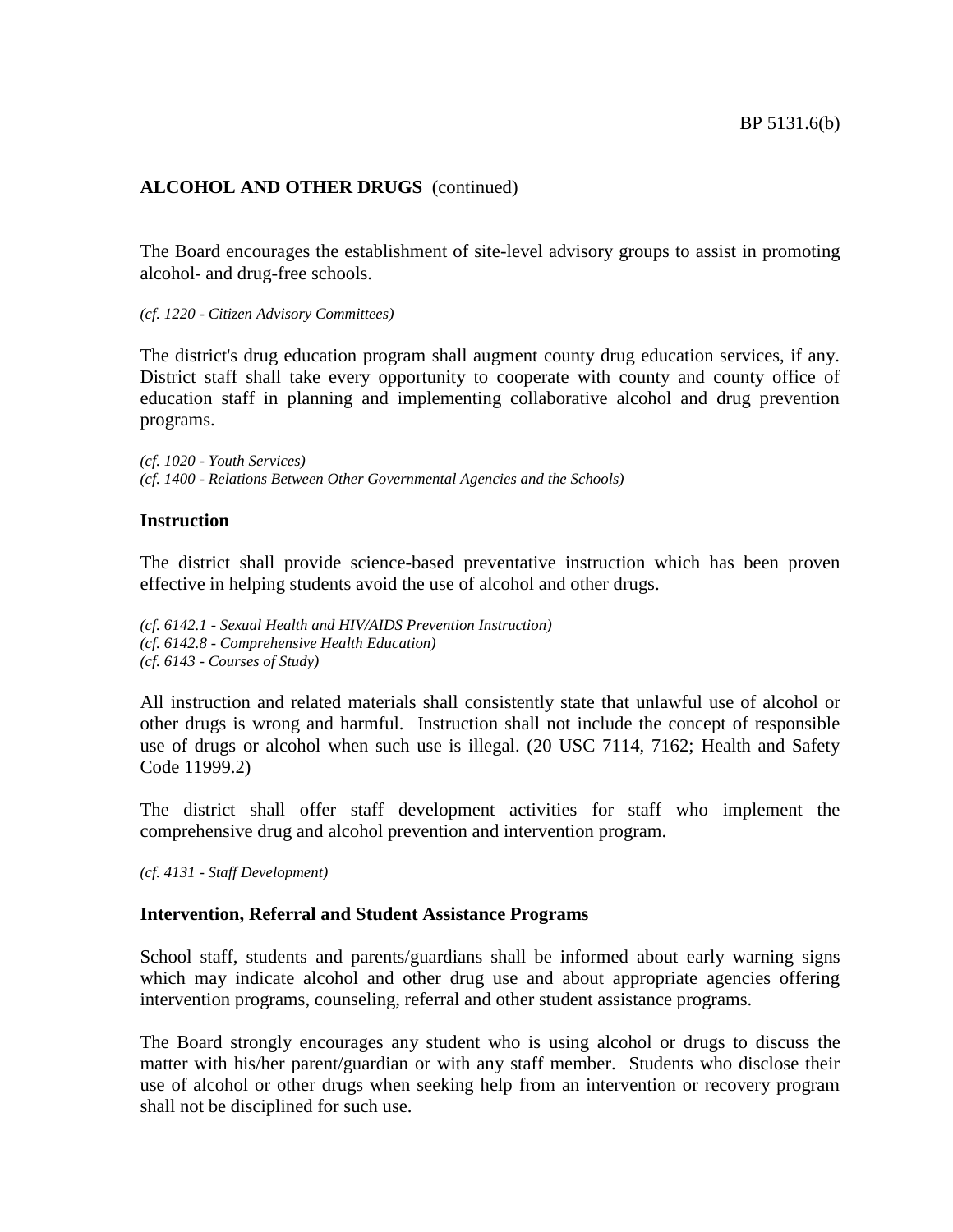The Board encourages the establishment of site-level advisory groups to assist in promoting alcohol- and drug-free schools.

*(cf. 1220 - Citizen Advisory Committees)*

The district's drug education program shall augment county drug education services, if any. District staff shall take every opportunity to cooperate with county and county office of education staff in planning and implementing collaborative alcohol and drug prevention programs.

*(cf. 1020 - Youth Services) (cf. 1400 - Relations Between Other Governmental Agencies and the Schools)*

## **Instruction**

The district shall provide science-based preventative instruction which has been proven effective in helping students avoid the use of alcohol and other drugs.

*(cf. 6142.1 - Sexual Health and HIV/AIDS Prevention Instruction) (cf. 6142.8 - Comprehensive Health Education) (cf. 6143 - Courses of Study)*

All instruction and related materials shall consistently state that unlawful use of alcohol or other drugs is wrong and harmful. Instruction shall not include the concept of responsible use of drugs or alcohol when such use is illegal. (20 USC 7114, 7162; Health and Safety Code 11999.2)

The district shall offer staff development activities for staff who implement the comprehensive drug and alcohol prevention and intervention program.

*(cf. 4131 - Staff Development)*

## **Intervention, Referral and Student Assistance Programs**

School staff, students and parents/guardians shall be informed about early warning signs which may indicate alcohol and other drug use and about appropriate agencies offering intervention programs, counseling, referral and other student assistance programs.

The Board strongly encourages any student who is using alcohol or drugs to discuss the matter with his/her parent/guardian or with any staff member. Students who disclose their use of alcohol or other drugs when seeking help from an intervention or recovery program shall not be disciplined for such use.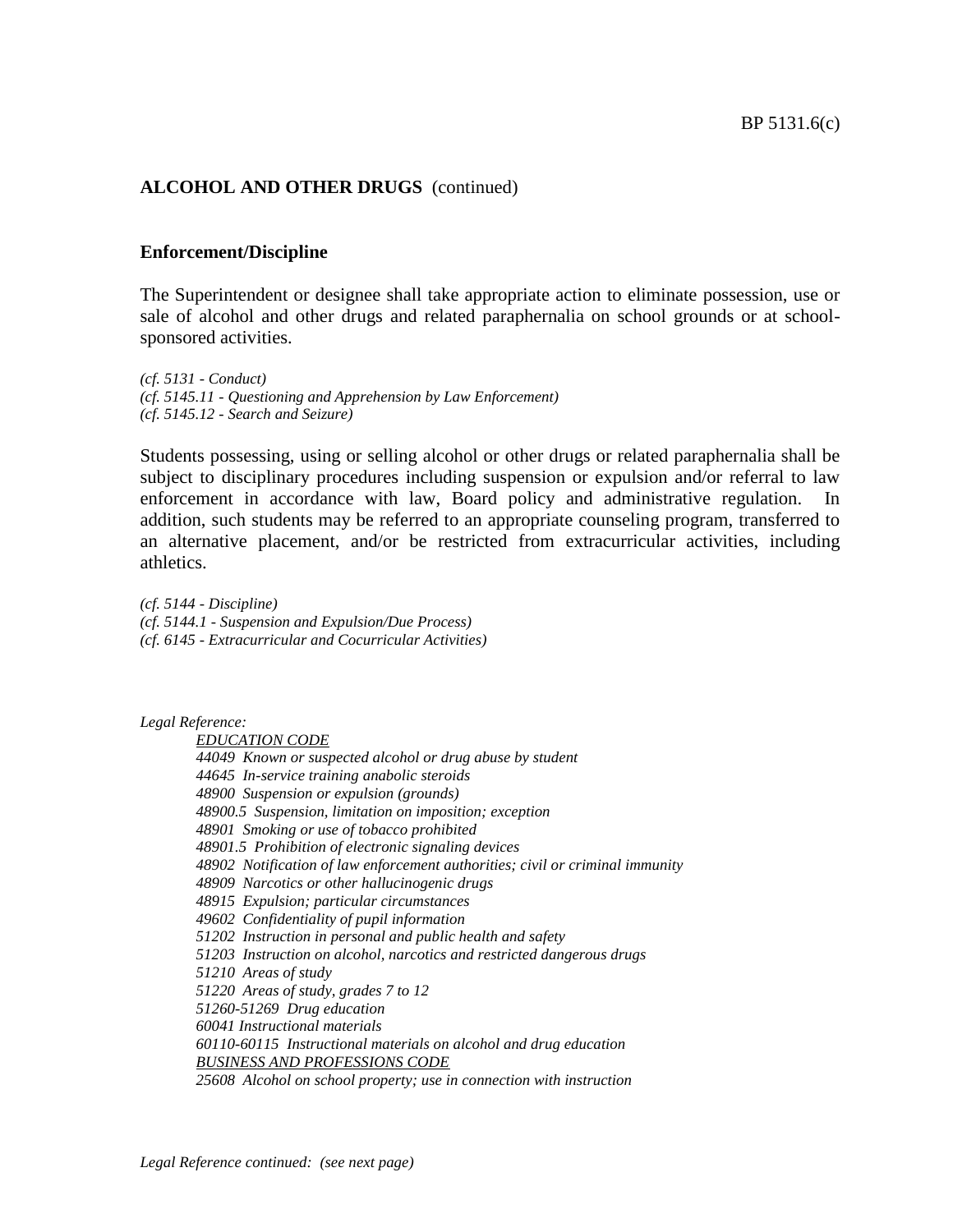### **Enforcement/Discipline**

The Superintendent or designee shall take appropriate action to eliminate possession, use or sale of alcohol and other drugs and related paraphernalia on school grounds or at schoolsponsored activities.

*(cf. 5131 - Conduct) (cf. 5145.11 - Questioning and Apprehension by Law Enforcement) (cf. 5145.12 - Search and Seizure)*

Students possessing, using or selling alcohol or other drugs or related paraphernalia shall be subject to disciplinary procedures including suspension or expulsion and/or referral to law enforcement in accordance with law, Board policy and administrative regulation. In addition, such students may be referred to an appropriate counseling program, transferred to an alternative placement, and/or be restricted from extracurricular activities, including athletics.

*(cf. 5144 - Discipline) (cf. 5144.1 - Suspension and Expulsion/Due Process) (cf. 6145 - Extracurricular and Cocurricular Activities)*

*Legal Reference:*

*EDUCATION CODE 44049 Known or suspected alcohol or drug abuse by student 44645 In-service training anabolic steroids 48900 Suspension or expulsion (grounds) 48900.5 Suspension, limitation on imposition; exception 48901 Smoking or use of tobacco prohibited 48901.5 Prohibition of electronic signaling devices 48902 Notification of law enforcement authorities; civil or criminal immunity 48909 Narcotics or other hallucinogenic drugs 48915 Expulsion; particular circumstances 49602 Confidentiality of pupil information 51202 Instruction in personal and public health and safety 51203 Instruction on alcohol, narcotics and restricted dangerous drugs 51210 Areas of study 51220 Areas of study, grades 7 to 12 51260-51269 Drug education 60041 Instructional materials 60110-60115 Instructional materials on alcohol and drug education BUSINESS AND PROFESSIONS CODE 25608 Alcohol on school property; use in connection with instruction*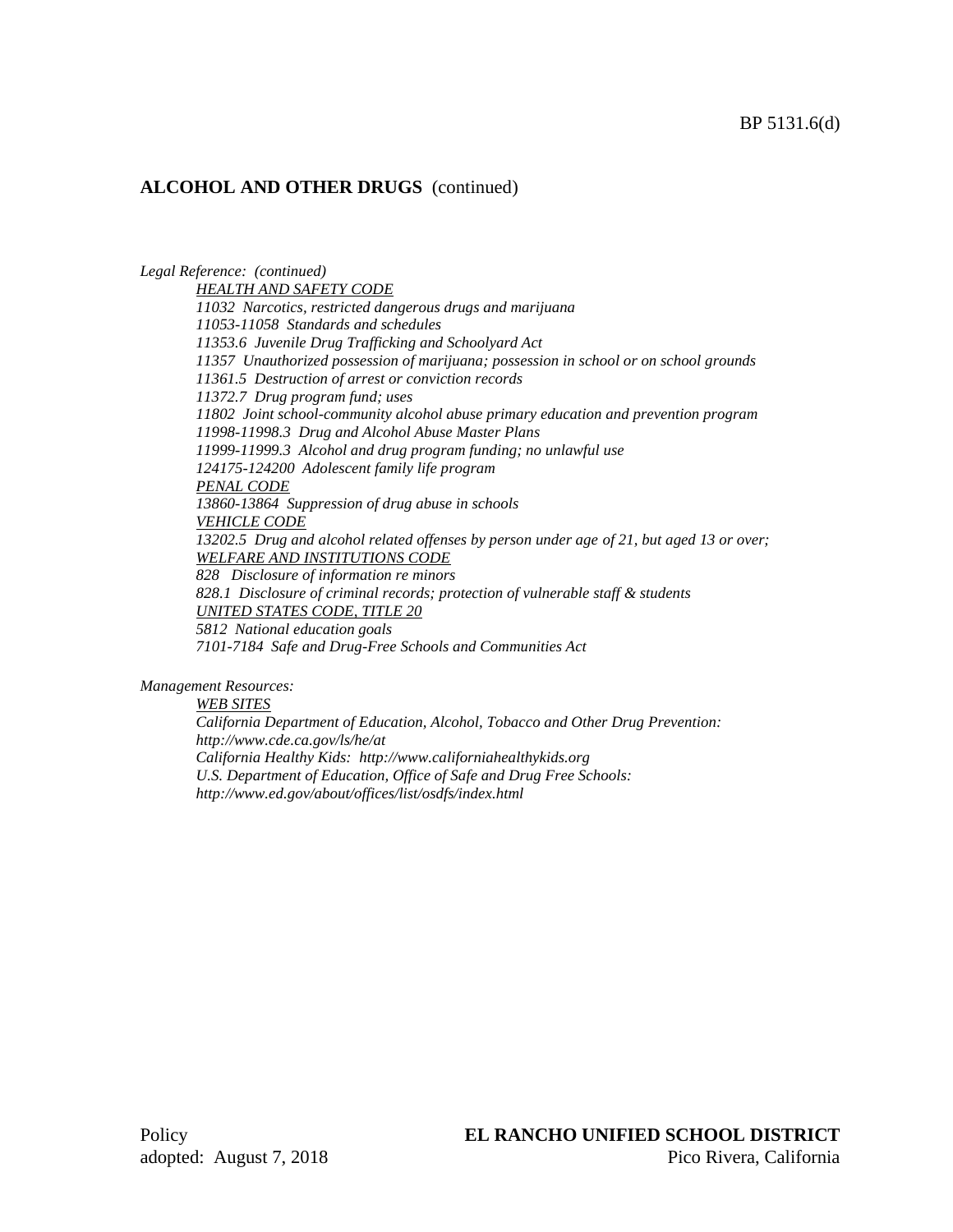*Legal Reference: (continued) HEALTH AND SAFETY CODE 11032 Narcotics, restricted dangerous drugs and marijuana 11053-11058 Standards and schedules 11353.6 Juvenile Drug Trafficking and Schoolyard Act 11357 Unauthorized possession of marijuana; possession in school or on school grounds 11361.5 Destruction of arrest or conviction records 11372.7 Drug program fund; uses 11802 Joint school-community alcohol abuse primary education and prevention program 11998-11998.3 Drug and Alcohol Abuse Master Plans 11999-11999.3 Alcohol and drug program funding; no unlawful use 124175-124200 Adolescent family life program PENAL CODE 13860-13864 Suppression of drug abuse in schools VEHICLE CODE 13202.5 Drug and alcohol related offenses by person under age of 21, but aged 13 or over; WELFARE AND INSTITUTIONS CODE 828 Disclosure of information re minors 828.1 Disclosure of criminal records; protection of vulnerable staff & students UNITED STATES CODE, TITLE 20 5812 National education goals 7101-7184 Safe and Drug-Free Schools and Communities Act*

*Management Resources:*

*WEB SITES*

*California Department of Education, Alcohol, Tobacco and Other Drug Prevention: http://www.cde.ca.gov/ls/he/at California Healthy Kids: http://www.californiahealthykids.org U.S. Department of Education, Office of Safe and Drug Free Schools: http://www.ed.gov/about/offices/list/osdfs/index.html*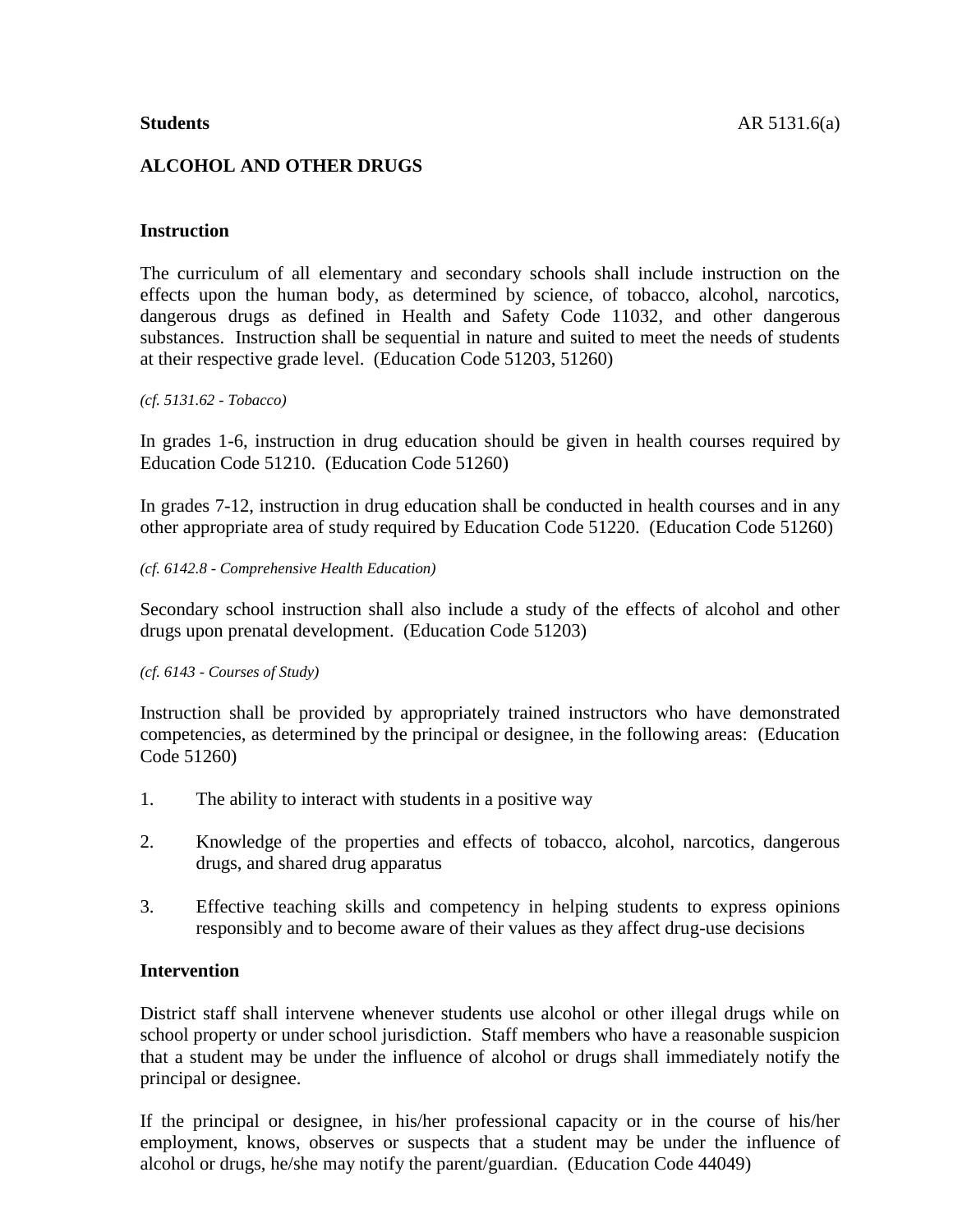# **ALCOHOL AND OTHER DRUGS**

# **Instruction**

The curriculum of all elementary and secondary schools shall include instruction on the effects upon the human body, as determined by science, of tobacco, alcohol, narcotics, dangerous drugs as defined in Health and Safety Code 11032, and other dangerous substances. Instruction shall be sequential in nature and suited to meet the needs of students at their respective grade level. (Education Code 51203, 51260)

*(cf. 5131.62 - Tobacco)*

In grades 1-6, instruction in drug education should be given in health courses required by Education Code 51210. (Education Code 51260)

In grades 7-12, instruction in drug education shall be conducted in health courses and in any other appropriate area of study required by Education Code 51220. (Education Code 51260)

### *(cf. 6142.8 - Comprehensive Health Education)*

Secondary school instruction shall also include a study of the effects of alcohol and other drugs upon prenatal development. (Education Code 51203)

## *(cf. 6143 - Courses of Study)*

Instruction shall be provided by appropriately trained instructors who have demonstrated competencies, as determined by the principal or designee, in the following areas: (Education Code 51260)

- 1. The ability to interact with students in a positive way
- 2. Knowledge of the properties and effects of tobacco, alcohol, narcotics, dangerous drugs, and shared drug apparatus
- 3. Effective teaching skills and competency in helping students to express opinions responsibly and to become aware of their values as they affect drug-use decisions

# **Intervention**

District staff shall intervene whenever students use alcohol or other illegal drugs while on school property or under school jurisdiction. Staff members who have a reasonable suspicion that a student may be under the influence of alcohol or drugs shall immediately notify the principal or designee.

If the principal or designee, in his/her professional capacity or in the course of his/her employment, knows, observes or suspects that a student may be under the influence of alcohol or drugs, he/she may notify the parent/guardian. (Education Code 44049)